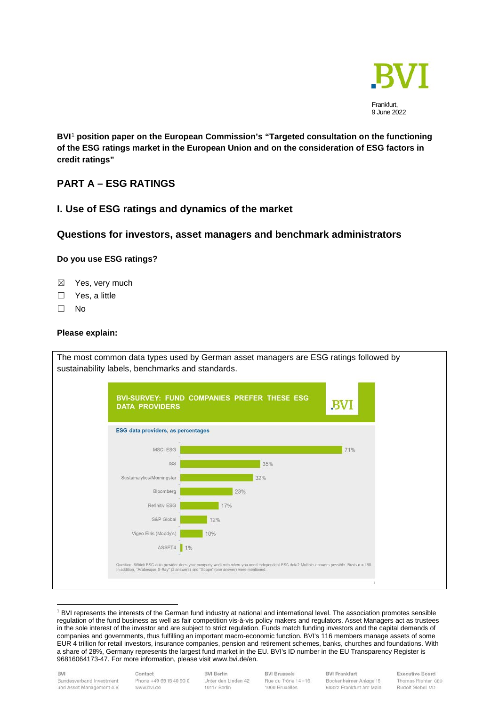

**BVI**[1](#page-0-0) **position paper on the European Commission's "Targeted consultation on the functioning of the ESG ratings market in the European Union and on the consideration of ESG factors in credit ratings"**

# **PART A – ESG RATINGS**

# **I. Use of ESG ratings and dynamics of the market**

# **Questions for investors, asset managers and benchmark administrators**

# **Do you use ESG ratings?**

- ☒ Yes, very much
- □ Yes, a little
- ☐ No

## **Please explain:**



<span id="page-0-0"></span><sup>1</sup> BVI represents the interests of the German fund industry at national and international level. The association promotes sensible regulation of the fund business as well as fair competition vis-à-vis policy makers and regulators. Asset Managers act as trustees in the sole interest of the investor and are subject to strict regulation. Funds match funding investors and the capital demands of companies and governments, thus fulfilling an important macro-economic function. BVI's 116 members manage assets of some EUR 4 trillion for retail investors, insurance companies, pension and retirement schemes, banks, churches and foundations. With a share of 28%, Germany represents the largest fund market in the EU. BVI's ID number in the EU Transparency Register is 96816064173-47. For more information, please visit www.bvi.de/en.

Contact Phone +49 69 15 40 90 0 www.bvi.de

**BVI Berlin** Unter den Linden 42 10117 Berlin

**BVI Brussels** Rue du Trône 14-16 1000 Bruxelles

**BVI Frankfurt** Bockenheimer Anlage 15 60322 Frankfurt am Main **Executive Board** Thomas Richter CEO Rudolf Siebel MD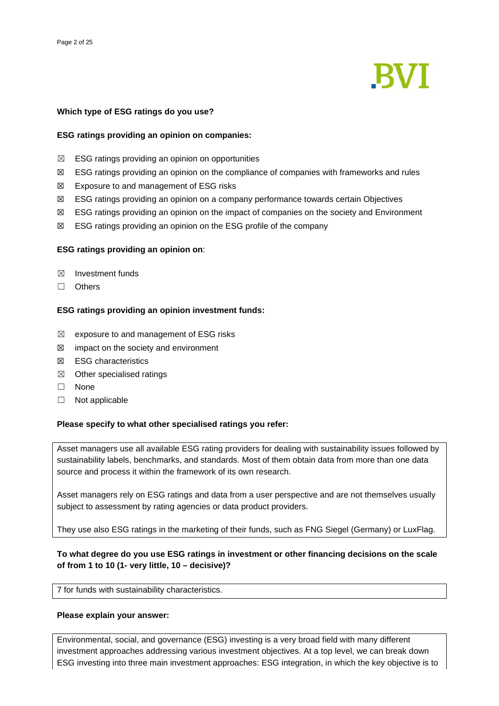

## **Which type of ESG ratings do you use?**

## **ESG ratings providing an opinion on companies:**

- $\boxtimes$  ESG ratings providing an opinion on opportunities
- ☒ ESG ratings providing an opinion on the compliance of companies with frameworks and rules
- ☒ Exposure to and management of ESG risks
- ☒ ESG ratings providing an opinion on a company performance towards certain Objectives
- ☒ ESG ratings providing an opinion on the impact of companies on the society and Environment
- $\boxtimes$  ESG ratings providing an opinion on the ESG profile of the company

## **ESG ratings providing an opinion on**:

- $\boxtimes$  Investment funds
- ☐ Others

## **ESG ratings providing an opinion investment funds:**

- $\boxtimes$  exposure to and management of ESG risks
- $\boxtimes$  impact on the society and environment
- ☒ ESG characteristics
- ☒ Other specialised ratings
- ☐ None
- ☐ Not applicable

## **Please specify to what other specialised ratings you refer:**

Asset managers use all available ESG rating providers for dealing with sustainability issues followed by sustainability labels, benchmarks, and standards. Most of them obtain data from more than one data source and process it within the framework of its own research.

Asset managers rely on ESG ratings and data from a user perspective and are not themselves usually subject to assessment by rating agencies or data product providers.

They use also ESG ratings in the marketing of their funds, such as FNG Siegel (Germany) or LuxFlag.

# **To what degree do you use ESG ratings in investment or other financing decisions on the scale of from 1 to 10 (1- very little, 10 – decisive)?**

7 for funds with sustainability characteristics.

## **Please explain your answer:**

Environmental, social, and governance (ESG) investing is a very broad field with many different investment approaches addressing various investment objectives. At a top level, we can break down ESG investing into three main investment approaches: ESG integration, in which the key objective is to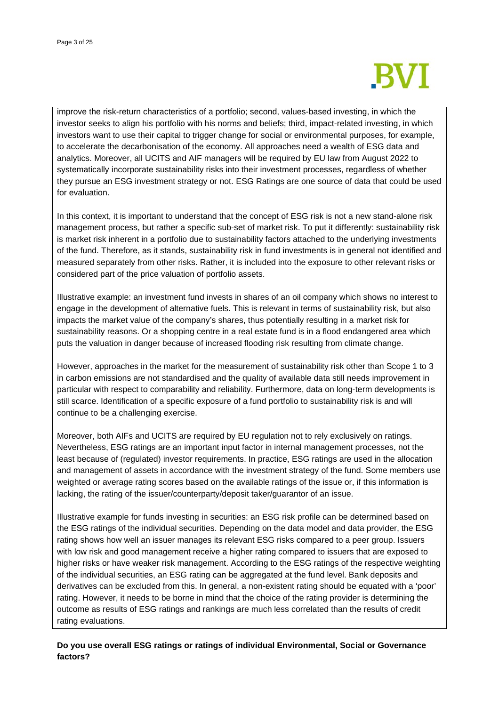

improve the risk-return characteristics of a portfolio; second, values-based investing, in which the investor seeks to align his portfolio with his norms and beliefs; third, impact-related investing, in which investors want to use their capital to trigger change for social or environmental purposes, for example, to accelerate the decarbonisation of the economy. All approaches need a wealth of ESG data and analytics. Moreover, all UCITS and AIF managers will be required by EU law from August 2022 to systematically incorporate sustainability risks into their investment processes, regardless of whether they pursue an ESG investment strategy or not. ESG Ratings are one source of data that could be used for evaluation.

In this context, it is important to understand that the concept of ESG risk is not a new stand-alone risk management process, but rather a specific sub-set of market risk. To put it differently: sustainability risk is market risk inherent in a portfolio due to sustainability factors attached to the underlying investments of the fund. Therefore, as it stands, sustainability risk in fund investments is in general not identified and measured separately from other risks. Rather, it is included into the exposure to other relevant risks or considered part of the price valuation of portfolio assets.

Illustrative example: an investment fund invests in shares of an oil company which shows no interest to engage in the development of alternative fuels. This is relevant in terms of sustainability risk, but also impacts the market value of the company's shares, thus potentially resulting in a market risk for sustainability reasons. Or a shopping centre in a real estate fund is in a flood endangered area which puts the valuation in danger because of increased flooding risk resulting from climate change.

However, approaches in the market for the measurement of sustainability risk other than Scope 1 to 3 in carbon emissions are not standardised and the quality of available data still needs improvement in particular with respect to comparability and reliability. Furthermore, data on long-term developments is still scarce. Identification of a specific exposure of a fund portfolio to sustainability risk is and will continue to be a challenging exercise.

Moreover, both AIFs and UCITS are required by EU regulation not to rely exclusively on ratings. Nevertheless, ESG ratings are an important input factor in internal management processes, not the least because of (regulated) investor requirements. In practice, ESG ratings are used in the allocation and management of assets in accordance with the investment strategy of the fund. Some members use weighted or average rating scores based on the available ratings of the issue or, if this information is lacking, the rating of the issuer/counterparty/deposit taker/guarantor of an issue.

Illustrative example for funds investing in securities: an ESG risk profile can be determined based on the ESG ratings of the individual securities. Depending on the data model and data provider, the ESG rating shows how well an issuer manages its relevant ESG risks compared to a peer group. Issuers with low risk and good management receive a higher rating compared to issuers that are exposed to higher risks or have weaker risk management. According to the ESG ratings of the respective weighting of the individual securities, an ESG rating can be aggregated at the fund level. Bank deposits and derivatives can be excluded from this. In general, a non-existent rating should be equated with a 'poor' rating. However, it needs to be borne in mind that the choice of the rating provider is determining the outcome as results of ESG ratings and rankings are much less correlated than the results of credit rating evaluations.

**Do you use overall ESG ratings or ratings of individual Environmental, Social or Governance factors?**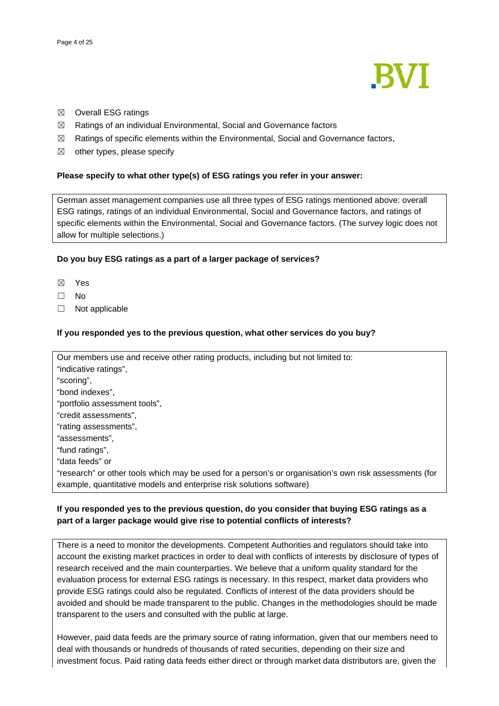

- ☒ Overall ESG ratings
- ☒ Ratings of an individual Environmental, Social and Governance factors
- $\boxtimes$  Ratings of specific elements within the Environmental, Social and Governance factors,
- $\boxtimes$  other types, please specify

## **Please specify to what other type(s) of ESG ratings you refer in your answer:**

German asset management companies use all three types of ESG ratings mentioned above: overall ESG ratings, ratings of an individual Environmental, Social and Governance factors, and ratings of specific elements within the Environmental, Social and Governance factors. (The survey logic does not allow for multiple selections.)

## **Do you buy ESG ratings as a part of a larger package of services?**

- ☒ Yes
- ☐ No
- ☐ Not applicable

## **If you responded yes to the previous question, what other services do you buy?**

Our members use and receive other rating products, including but not limited to: "indicative ratings", "scoring", "bond indexes", "portfolio assessment tools", "credit assessments", "rating assessments", "assessments", "fund ratings", "data feeds" or "research" or other tools which may be used for a person's or organisation's own risk assessments (for example, quantitative models and enterprise risk solutions software)

# **If you responded yes to the previous question, do you consider that buying ESG ratings as a part of a larger package would give rise to potential conflicts of interests?**

There is a need to monitor the developments. Competent Authorities and regulators should take into account the existing market practices in order to deal with conflicts of interests by disclosure of types of research received and the main counterparties. We believe that a uniform quality standard for the evaluation process for external ESG ratings is necessary. In this respect, market data providers who provide ESG ratings could also be regulated. Conflicts of interest of the data providers should be avoided and should be made transparent to the public. Changes in the methodologies should be made transparent to the users and consulted with the public at large.

However, paid data feeds are the primary source of rating information, given that our members need to deal with thousands or hundreds of thousands of rated securities, depending on their size and investment focus. Paid rating data feeds either direct or through market data distributors are, given the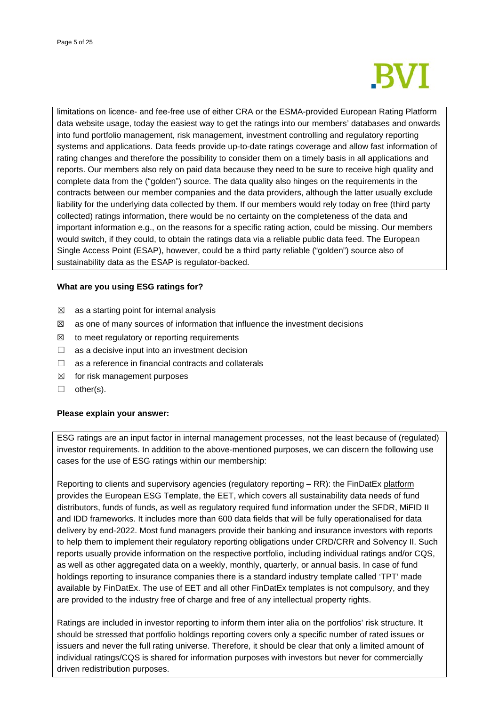

limitations on licence- and fee-free use of either CRA or the ESMA-provided European Rating Platform data website usage, today the easiest way to get the ratings into our members' databases and onwards into fund portfolio management, risk management, investment controlling and regulatory reporting systems and applications. Data feeds provide up-to-date ratings coverage and allow fast information of rating changes and therefore the possibility to consider them on a timely basis in all applications and reports. Our members also rely on paid data because they need to be sure to receive high quality and complete data from the ("golden") source. The data quality also hinges on the requirements in the contracts between our member companies and the data providers, although the latter usually exclude liability for the underlying data collected by them. If our members would rely today on free (third party collected) ratings information, there would be no certainty on the completeness of the data and important information e.g., on the reasons for a specific rating action, could be missing. Our members would switch, if they could, to obtain the ratings data via a reliable public data feed. The European Single Access Point (ESAP), however, could be a third party reliable ("golden") source also of sustainability data as the ESAP is regulator-backed.

## **What are you using ESG ratings for?**

- $\boxtimes$  as a starting point for internal analysis
- $\boxtimes$  as one of many sources of information that influence the investment decisions
- $\boxtimes$  to meet regulatory or reporting requirements
- $\Box$  as a decisive input into an investment decision
- □ as a reference in financial contracts and collaterals
- $\boxtimes$  for risk management purposes
- ☐ other(s).

## **Please explain your answer:**

ESG ratings are an input factor in internal management processes, not the least because of (regulated) investor requirements. In addition to the above-mentioned purposes, we can discern the following use cases for the use of ESG ratings within our membership:

Reporting to clients and supervisory agencies (regulatory reporting – RR): the FinDatEx [platform](https://findatex.eu/) provides the European ESG Template, the EET, which covers all sustainability data needs of fund distributors, funds of funds, as well as regulatory required fund information under the SFDR, MiFID II and IDD frameworks. It includes more than 600 data fields that will be fully operationalised for data delivery by end-2022. Most fund managers provide their banking and insurance investors with reports to help them to implement their regulatory reporting obligations under CRD/CRR and Solvency II. Such reports usually provide information on the respective portfolio, including individual ratings and/or CQS, as well as other aggregated data on a weekly, monthly, quarterly, or annual basis. In case of fund holdings reporting to insurance companies there is a standard industry template called 'TPT' made available by FinDatEx. The use of EET and all other FinDatEx templates is not compulsory, and they are provided to the industry free of charge and free of any intellectual property rights.

Ratings are included in investor reporting to inform them inter alia on the portfolios' risk structure. It should be stressed that portfolio holdings reporting covers only a specific number of rated issues or issuers and never the full rating universe. Therefore, it should be clear that only a limited amount of individual ratings/CQS is shared for information purposes with investors but never for commercially driven redistribution purposes.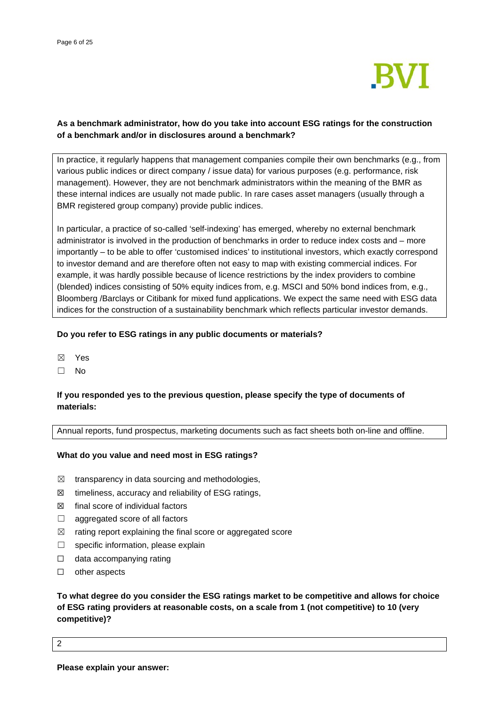

# **As a benchmark administrator, how do you take into account ESG ratings for the construction of a benchmark and/or in disclosures around a benchmark?**

In practice, it regularly happens that management companies compile their own benchmarks (e.g., from various public indices or direct company / issue data) for various purposes (e.g. performance, risk management). However, they are not benchmark administrators within the meaning of the BMR as these internal indices are usually not made public. In rare cases asset managers (usually through a BMR registered group company) provide public indices.

In particular, a practice of so-called 'self-indexing' has emerged, whereby no external benchmark administrator is involved in the production of benchmarks in order to reduce index costs and – more importantly – to be able to offer 'customised indices' to institutional investors, which exactly correspond to investor demand and are therefore often not easy to map with existing commercial indices. For example, it was hardly possible because of licence restrictions by the index providers to combine (blended) indices consisting of 50% equity indices from, e.g. MSCI and 50% bond indices from, e.g., Bloomberg /Barclays or Citibank for mixed fund applications. We expect the same need with ESG data indices for the construction of a sustainability benchmark which reflects particular investor demands.

## **Do you refer to ESG ratings in any public documents or materials?**

- ☒ Yes
- ☐ No

## **If you responded yes to the previous question, please specify the type of documents of materials:**

Annual reports, fund prospectus, marketing documents such as fact sheets both on-line and offline.

## **What do you value and need most in ESG ratings?**

- $\boxtimes$  transparency in data sourcing and methodologies,
- $\boxtimes$  timeliness, accuracy and reliability of ESG ratings,
- $\boxtimes$  final score of individual factors
- $\Box$  aggregated score of all factors
- $\boxtimes$  rating report explaining the final score or aggregated score
- □ specific information, please explain
- □ data accompanying rating
- ☐ other aspects

**To what degree do you consider the ESG ratings market to be competitive and allows for choice of ESG rating providers at reasonable costs, on a scale from 1 (not competitive) to 10 (very competitive)?**

2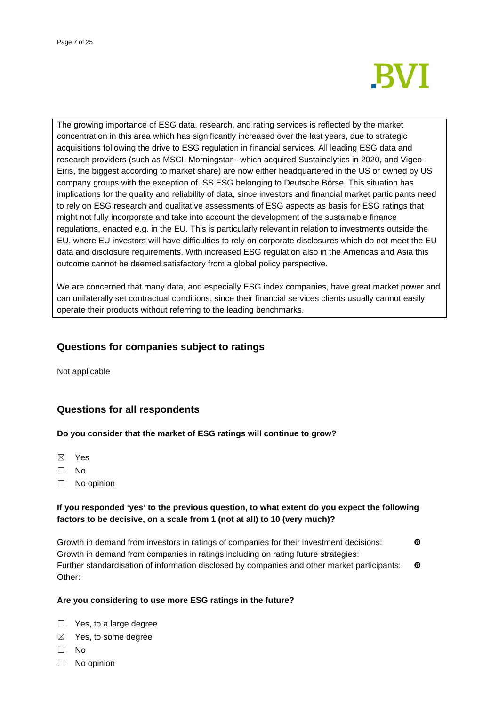

The growing importance of ESG data, research, and rating services is reflected by the market concentration in this area which has significantly increased over the last years, due to strategic acquisitions following the drive to ESG regulation in financial services. All leading ESG data and research providers (such as MSCI, Morningstar - which acquired Sustainalytics in 2020, and Vigeo-Eiris, the biggest according to market share) are now either headquartered in the US or owned by US company groups with the exception of ISS ESG belonging to Deutsche Börse. This situation has implications for the quality and reliability of data, since investors and financial market participants need to rely on ESG research and qualitative assessments of ESG aspects as basis for ESG ratings that might not fully incorporate and take into account the development of the sustainable finance regulations, enacted e.g. in the EU. This is particularly relevant in relation to investments outside the EU, where EU investors will have difficulties to rely on corporate disclosures which do not meet the EU data and disclosure requirements. With increased ESG regulation also in the Americas and Asia this outcome cannot be deemed satisfactory from a global policy perspective.

We are concerned that many data, and especially ESG index companies, have great market power and can unilaterally set contractual conditions, since their financial services clients usually cannot easily operate their products without referring to the leading benchmarks.

# **Questions for companies subject to ratings**

Not applicable

# **Questions for all respondents**

## **Do you consider that the market of ESG ratings will continue to grow?**

- ☒ Yes
- ☐ No
- ☐ No opinion

# **If you responded 'yes' to the previous question, to what extent do you expect the following factors to be decisive, on a scale from 1 (not at all) to 10 (very much)?**

Growth in demand from investors in ratings of companies for their investment decisions: Growth in demand from companies in ratings including on rating future strategies: Further standardisation of information disclosed by companies and other market participants:  $\bullet$ Other:

## **Are you considering to use more ESG ratings in the future?**

- □ Yes, to a large degree
- ☒ Yes, to some degree
- ☐ No
- ☐ No opinion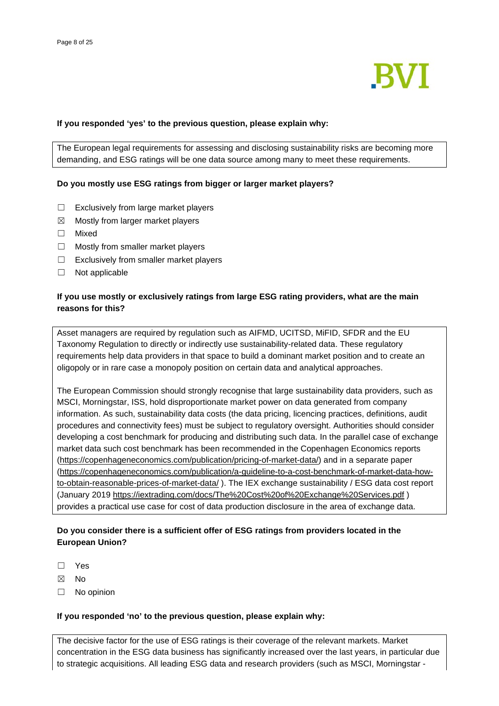

## **If you responded 'yes' to the previous question, please explain why:**

The European legal requirements for assessing and disclosing sustainability risks are becoming more demanding, and ESG ratings will be one data source among many to meet these requirements.

## **Do you mostly use ESG ratings from bigger or larger market players?**

- ☐ Exclusively from large market players
- $\boxtimes$  Mostly from larger market players
- ☐ Mixed
- $\Box$  Mostly from smaller market players
- $\Box$  Exclusively from smaller market players
- ☐ Not applicable

## **If you use mostly or exclusively ratings from large ESG rating providers, what are the main reasons for this?**

Asset managers are required by regulation such as AIFMD, UCITSD, MiFID, SFDR and the EU Taxonomy Regulation to directly or indirectly use sustainability-related data. These regulatory requirements help data providers in that space to build a dominant market position and to create an oligopoly or in rare case a monopoly position on certain data and analytical approaches.

The European Commission should strongly recognise that large sustainability data providers, such as MSCI, Morningstar, ISS, hold disproportionate market power on data generated from company information. As such, sustainability data costs (the data pricing, licencing practices, definitions, audit procedures and connectivity fees) must be subject to regulatory oversight. Authorities should consider developing a cost benchmark for producing and distributing such data. In the parallel case of exchange market data such cost benchmark has been recommended in the Copenhagen Economics reports [\(https://copenhageneconomics.com/publication/pricing-of-market-data/\)](https://copenhageneconomics.com/publication/pricing-of-market-data/) and in a separate paper [\(https://copenhageneconomics.com/publication/a-guideline-to-a-cost-benchmark-of-market-data-how](https://copenhageneconomics.com/publication/a-guideline-to-a-cost-benchmark-of-market-data-how-to-obtain-reasonable-prices-of-market-data/)[to-obtain-reasonable-prices-of-market-data/](https://copenhageneconomics.com/publication/a-guideline-to-a-cost-benchmark-of-market-data-how-to-obtain-reasonable-prices-of-market-data/) ). The IEX exchange sustainability / ESG data cost report (January 2019 <https://iextrading.com/docs/The%20Cost%20of%20Exchange%20Services.pdf> ) provides a practical use case for cost of data production disclosure in the area of exchange data.

## **Do you consider there is a sufficient offer of ESG ratings from providers located in the European Union?**

- ☐ Yes
- ☒ No
- ☐ No opinion

## **If you responded 'no' to the previous question, please explain why:**

The decisive factor for the use of ESG ratings is their coverage of the relevant markets. Market concentration in the ESG data business has significantly increased over the last years, in particular due to strategic acquisitions. All leading ESG data and research providers (such as MSCI, Morningstar -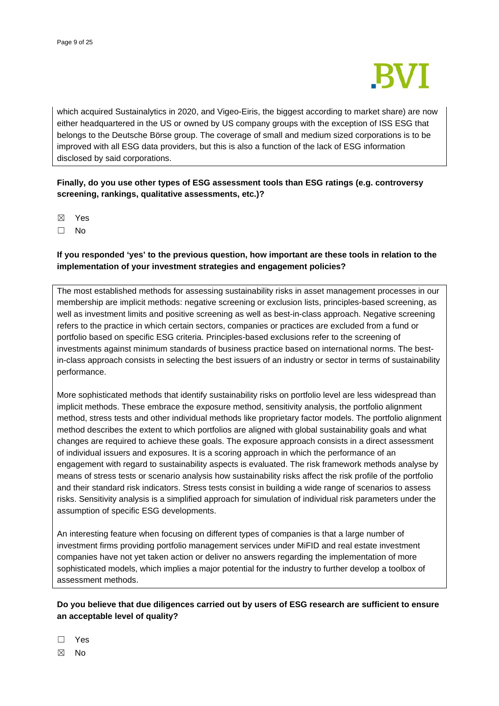

which acquired Sustainalytics in 2020, and Vigeo-Eiris, the biggest according to market share) are now either headquartered in the US or owned by US company groups with the exception of ISS ESG that belongs to the Deutsche Börse group. The coverage of small and medium sized corporations is to be improved with all ESG data providers, but this is also a function of the lack of ESG information disclosed by said corporations.

# **Finally, do you use other types of ESG assessment tools than ESG ratings (e.g. controversy screening, rankings, qualitative assessments, etc.)?**

- ☒ Yes
- ☐ No

## **If you responded 'yes' to the previous question, how important are these tools in relation to the implementation of your investment strategies and engagement policies?**

The most established methods for assessing sustainability risks in asset management processes in our membership are implicit methods: negative screening or exclusion lists, principles-based screening, as well as investment limits and positive screening as well as best-in-class approach. Negative screening refers to the practice in which certain sectors, companies or practices are excluded from a fund or portfolio based on specific ESG criteria. Principles-based exclusions refer to the screening of investments against minimum standards of business practice based on international norms. The bestin-class approach consists in selecting the best issuers of an industry or sector in terms of sustainability performance.

More sophisticated methods that identify sustainability risks on portfolio level are less widespread than implicit methods. These embrace the exposure method, sensitivity analysis, the portfolio alignment method, stress tests and other individual methods like proprietary factor models. The portfolio alignment method describes the extent to which portfolios are aligned with global sustainability goals and what changes are required to achieve these goals. The exposure approach consists in a direct assessment of individual issuers and exposures. It is a scoring approach in which the performance of an engagement with regard to sustainability aspects is evaluated. The risk framework methods analyse by means of stress tests or scenario analysis how sustainability risks affect the risk profile of the portfolio and their standard risk indicators. Stress tests consist in building a wide range of scenarios to assess risks. Sensitivity analysis is a simplified approach for simulation of individual risk parameters under the assumption of specific ESG developments.

An interesting feature when focusing on different types of companies is that a large number of investment firms providing portfolio management services under MiFID and real estate investment companies have not yet taken action or deliver no answers regarding the implementation of more sophisticated models, which implies a major potential for the industry to further develop a toolbox of assessment methods.

# **Do you believe that due diligences carried out by users of ESG research are sufficient to ensure an acceptable level of quality?**

☐ Yes

☒ No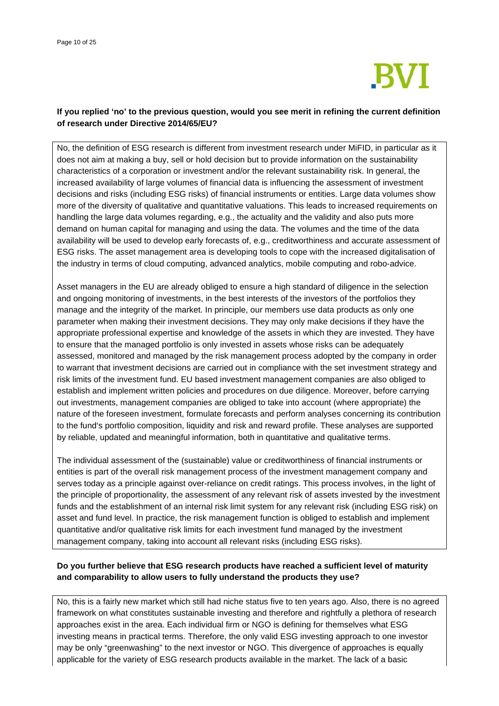

# **If you replied 'no' to the previous question, would you see merit in refining the current definition of research under Directive 2014/65/EU?**

No, the definition of ESG research is different from investment research under MiFID, in particular as it does not aim at making a buy, sell or hold decision but to provide information on the sustainability characteristics of a corporation or investment and/or the relevant sustainability risk. In general, the increased availability of large volumes of financial data is influencing the assessment of investment decisions and risks (including ESG risks) of financial instruments or entities. Large data volumes show more of the diversity of qualitative and quantitative valuations. This leads to increased requirements on handling the large data volumes regarding, e.g., the actuality and the validity and also puts more demand on human capital for managing and using the data. The volumes and the time of the data availability will be used to develop early forecasts of, e.g., creditworthiness and accurate assessment of ESG risks. The asset management area is developing tools to cope with the increased digitalisation of the industry in terms of cloud computing, advanced analytics, mobile computing and robo-advice.

Asset managers in the EU are already obliged to ensure a high standard of diligence in the selection and ongoing monitoring of investments, in the best interests of the investors of the portfolios they manage and the integrity of the market. In principle, our members use data products as only one parameter when making their investment decisions. They may only make decisions if they have the appropriate professional expertise and knowledge of the assets in which they are invested. They have to ensure that the managed portfolio is only invested in assets whose risks can be adequately assessed, monitored and managed by the risk management process adopted by the company in order to warrant that investment decisions are carried out in compliance with the set investment strategy and risk limits of the investment fund. EU based investment management companies are also obliged to establish and implement written policies and procedures on due diligence. Moreover, before carrying out investments, management companies are obliged to take into account (where appropriate) the nature of the foreseen investment, formulate forecasts and perform analyses concerning its contribution to the fund's portfolio composition, liquidity and risk and reward profile. These analyses are supported by reliable, updated and meaningful information, both in quantitative and qualitative terms.

The individual assessment of the (sustainable) value or creditworthiness of financial instruments or entities is part of the overall risk management process of the investment management company and serves today as a principle against over-reliance on credit ratings. This process involves, in the light of the principle of proportionality, the assessment of any relevant risk of assets invested by the investment funds and the establishment of an internal risk limit system for any relevant risk (including ESG risk) on asset and fund level. In practice, the risk management function is obliged to establish and implement quantitative and/or qualitative risk limits for each investment fund managed by the investment management company, taking into account all relevant risks (including ESG risks).

# **Do you further believe that ESG research products have reached a sufficient level of maturity and comparability to allow users to fully understand the products they use?**

No, this is a fairly new market which still had niche status five to ten years ago. Also, there is no agreed framework on what constitutes sustainable investing and therefore and rightfully a plethora of research approaches exist in the area. Each individual firm or NGO is defining for themselves what ESG investing means in practical terms. Therefore, the only valid ESG investing approach to one investor may be only "greenwashing" to the next investor or NGO. This divergence of approaches is equally applicable for the variety of ESG research products available in the market. The lack of a basic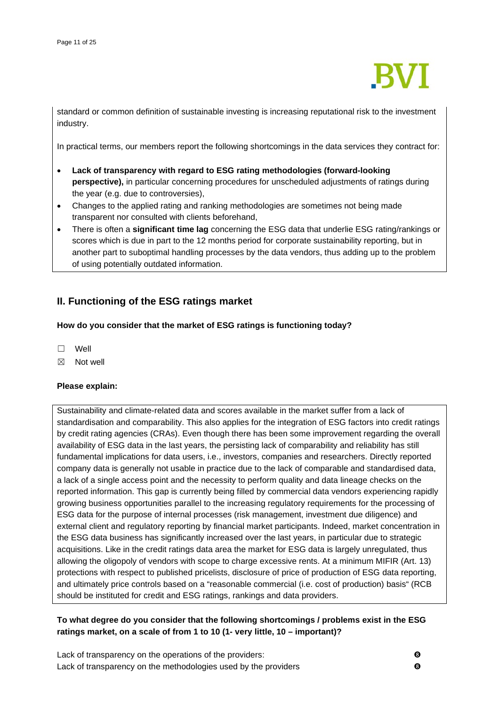

standard or common definition of sustainable investing is increasing reputational risk to the investment industry.

In practical terms, our members report the following shortcomings in the data services they contract for:

- **Lack of transparency with regard to ESG rating methodologies (forward-looking perspective),** in particular concerning procedures for unscheduled adjustments of ratings during the year (e.g. due to controversies),
- Changes to the applied rating and ranking methodologies are sometimes not being made transparent nor consulted with clients beforehand,
- There is often a **significant time lag** concerning the ESG data that underlie ESG rating/rankings or scores which is due in part to the 12 months period for corporate sustainability reporting, but in another part to suboptimal handling processes by the data vendors, thus adding up to the problem of using potentially outdated information.

# **II. Functioning of the ESG ratings market**

## **How do you consider that the market of ESG ratings is functioning today?**

- ☐ Well
- $\boxtimes$  Not well

## **Please explain:**

Sustainability and climate-related data and scores available in the market suffer from a lack of standardisation and comparability. This also applies for the integration of ESG factors into credit ratings by credit rating agencies (CRAs). Even though there has been some improvement regarding the overall availability of ESG data in the last years, the persisting lack of comparability and reliability has still fundamental implications for data users, i.e., investors, companies and researchers. Directly reported company data is generally not usable in practice due to the lack of comparable and standardised data, a lack of a single access point and the necessity to perform quality and data lineage checks on the reported information. This gap is currently being filled by commercial data vendors experiencing rapidly growing business opportunities parallel to the increasing regulatory requirements for the processing of ESG data for the purpose of internal processes (risk management, investment due diligence) and external client and regulatory reporting by financial market participants. Indeed, market concentration in the ESG data business has significantly increased over the last years, in particular due to strategic acquisitions. Like in the credit ratings data area the market for ESG data is largely unregulated, thus allowing the oligopoly of vendors with scope to charge excessive rents. At a minimum MIFIR (Art. 13) protections with respect to published pricelists, disclosure of price of production of ESG data reporting, and ultimately price controls based on a "reasonable commercial (i.e. cost of production) basis" (RCB should be instituted for credit and ESG ratings, rankings and data providers.

# **To what degree do you consider that the following shortcomings / problems exist in the ESG ratings market, on a scale of from 1 to 10 (1- very little, 10 – important)?**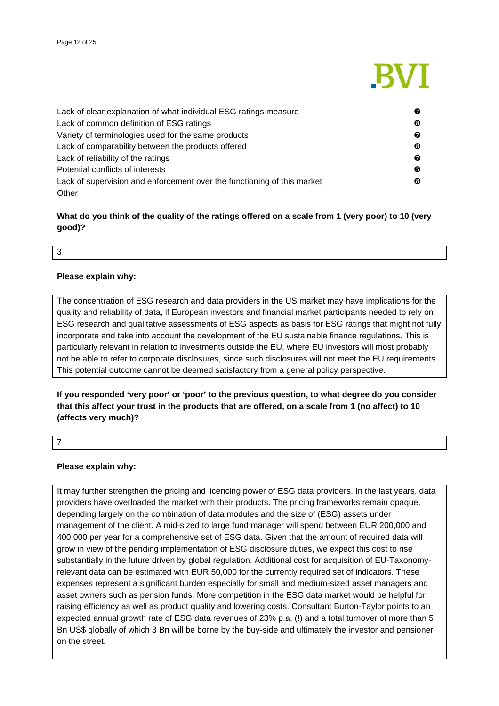

| Lack of clear explanation of what individual ESG ratings measure        | 0 |
|-------------------------------------------------------------------------|---|
| Lack of common definition of ESG ratings                                | ❸ |
| Variety of terminologies used for the same products                     | 0 |
| Lack of comparability between the products offered                      | ❸ |
| Lack of reliability of the ratings                                      | 0 |
| Potential conflicts of interests                                        | Θ |
| Lack of supervision and enforcement over the functioning of this market | ❸ |
| Other                                                                   |   |

# **What do you think of the quality of the ratings offered on a scale from 1 (very poor) to 10 (very good)?**

## 3

## **Please explain why:**

The concentration of ESG research and data providers in the US market may have implications for the quality and reliability of data, if European investors and financial market participants needed to rely on ESG research and qualitative assessments of ESG aspects as basis for ESG ratings that might not fully incorporate and take into account the development of the EU sustainable finance regulations. This is particularly relevant in relation to investments outside the EU, where EU investors will most probably not be able to refer to corporate disclosures, since such disclosures will not meet the EU requirements. This potential outcome cannot be deemed satisfactory from a general policy perspective.

**If you responded 'very poor' or 'poor' to the previous question, to what degree do you consider that this affect your trust in the products that are offered, on a scale from 1 (no affect) to 10 (affects very much)?**

7

## **Please explain why:**

It may further strengthen the pricing and licencing power of ESG data providers. In the last years, data providers have overloaded the market with their products. The pricing frameworks remain opaque, depending largely on the combination of data modules and the size of (ESG) assets under management of the client. A mid-sized to large fund manager will spend between EUR 200,000 and 400,000 per year for a comprehensive set of ESG data. Given that the amount of required data will grow in view of the pending implementation of ESG disclosure duties, we expect this cost to rise substantially in the future driven by global regulation. Additional cost for acquisition of EU-Taxonomyrelevant data can be estimated with EUR 50,000 for the currently required set of indicators. These expenses represent a significant burden especially for small and medium-sized asset managers and asset owners such as pension funds. More competition in the ESG data market would be helpful for raising efficiency as well as product quality and lowering costs. Consultant Burton-Taylor points to an expected annual growth rate of ESG data revenues of 23% p.a. (!) and a total turnover of more than 5 Bn US\$ globally of which 3 Bn will be borne by the buy-side and ultimately the investor and pensioner on the street.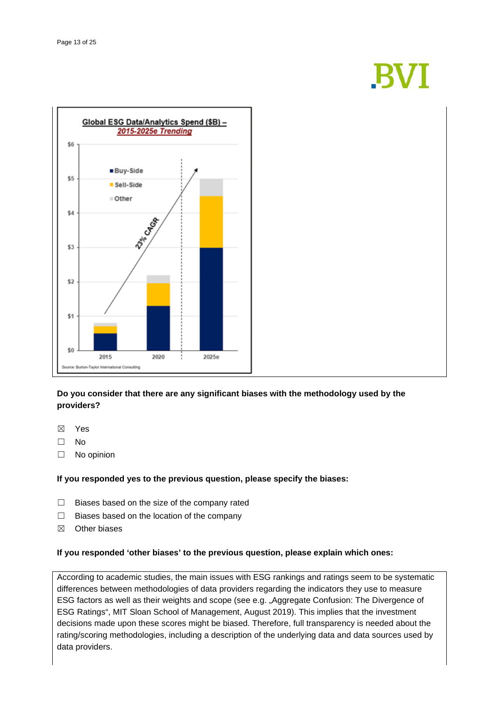# **BVI**



# **Do you consider that there are any significant biases with the methodology used by the providers?**

- ☒ Yes
- ☐ No
- ☐ No opinion

## **If you responded yes to the previous question, please specify the biases:**

- ☐ Biases based on the size of the company rated
- ☐ Biases based on the location of the company
- ☒ Other biases

## **If you responded 'other biases' to the previous question, please explain which ones:**

According to academic studies, the main issues with ESG rankings and ratings seem to be systematic differences between methodologies of data providers regarding the indicators they use to measure ESG factors as well as their weights and scope (see e.g. "Aggregate Confusion: The Divergence of ESG Ratings", MIT Sloan School of Management, August 2019). This implies that the investment decisions made upon these scores might be biased. Therefore, full transparency is needed about the rating/scoring methodologies, including a description of the underlying data and data sources used by data providers.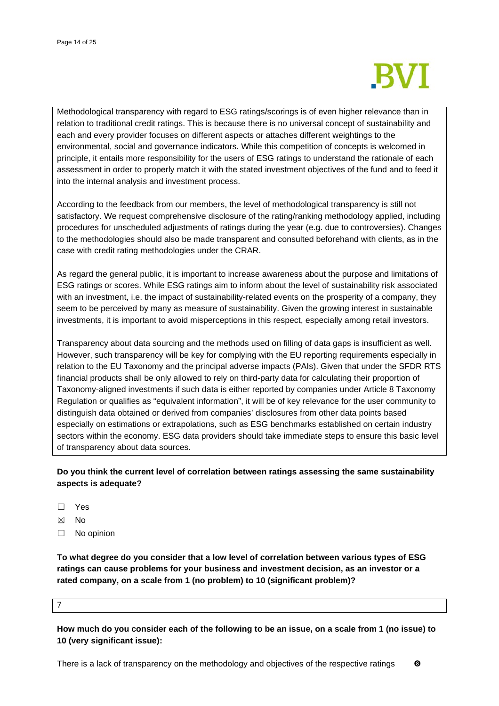

Methodological transparency with regard to ESG ratings/scorings is of even higher relevance than in relation to traditional credit ratings. This is because there is no universal concept of sustainability and each and every provider focuses on different aspects or attaches different weightings to the environmental, social and governance indicators. While this competition of concepts is welcomed in principle, it entails more responsibility for the users of ESG ratings to understand the rationale of each assessment in order to properly match it with the stated investment objectives of the fund and to feed it into the internal analysis and investment process.

According to the feedback from our members, the level of methodological transparency is still not satisfactory. We request comprehensive disclosure of the rating/ranking methodology applied, including procedures for unscheduled adjustments of ratings during the year (e.g. due to controversies). Changes to the methodologies should also be made transparent and consulted beforehand with clients, as in the case with credit rating methodologies under the CRAR.

As regard the general public, it is important to increase awareness about the purpose and limitations of ESG ratings or scores. While ESG ratings aim to inform about the level of sustainability risk associated with an investment, i.e. the impact of sustainability-related events on the prosperity of a company, they seem to be perceived by many as measure of sustainability. Given the growing interest in sustainable investments, it is important to avoid misperceptions in this respect, especially among retail investors.

Transparency about data sourcing and the methods used on filling of data gaps is insufficient as well. However, such transparency will be key for complying with the EU reporting requirements especially in relation to the EU Taxonomy and the principal adverse impacts (PAIs). Given that under the SFDR RTS financial products shall be only allowed to rely on third-party data for calculating their proportion of Taxonomy-aligned investments if such data is either reported by companies under Article 8 Taxonomy Regulation or qualifies as "equivalent information", it will be of key relevance for the user community to distinguish data obtained or derived from companies' disclosures from other data points based especially on estimations or extrapolations, such as ESG benchmarks established on certain industry sectors within the economy. ESG data providers should take immediate steps to ensure this basic level of transparency about data sources.

# **Do you think the current level of correlation between ratings assessing the same sustainability aspects is adequate?**

- ☐ Yes
- ☒ No
- ☐ No opinion

**To what degree do you consider that a low level of correlation between various types of ESG ratings can cause problems for your business and investment decision, as an investor or a rated company, on a scale from 1 (no problem) to 10 (significant problem)?**

#### 7

**How much do you consider each of the following to be an issue, on a scale from 1 (no issue) to 10 (very significant issue):**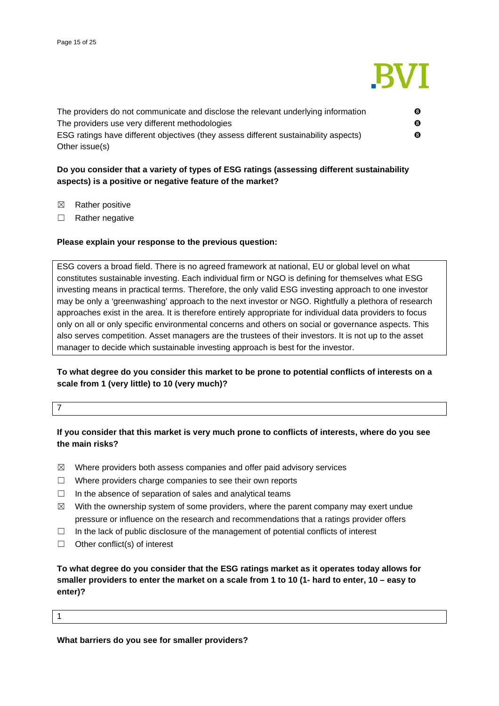

| The providers do not communicate and disclose the relevant underlying information    | ❸ |
|--------------------------------------------------------------------------------------|---|
| The providers use very different methodologies                                       | 6 |
| ESG ratings have different objectives (they assess different sustainability aspects) | ❸ |
| Other issue(s)                                                                       |   |

# **Do you consider that a variety of types of ESG ratings (assessing different sustainability aspects) is a positive or negative feature of the market?**

- ☒ Rather positive
- ☐ Rather negative

## **Please explain your response to the previous question:**

ESG covers a broad field. There is no agreed framework at national, EU or global level on what constitutes sustainable investing. Each individual firm or NGO is defining for themselves what ESG investing means in practical terms. Therefore, the only valid ESG investing approach to one investor may be only a 'greenwashing' approach to the next investor or NGO. Rightfully a plethora of research approaches exist in the area. It is therefore entirely appropriate for individual data providers to focus only on all or only specific environmental concerns and others on social or governance aspects. This also serves competition. Asset managers are the trustees of their investors. It is not up to the asset manager to decide which sustainable investing approach is best for the investor.

# **To what degree do you consider this market to be prone to potential conflicts of interests on a scale from 1 (very little) to 10 (very much)?**

## 7

1

# **If you consider that this market is very much prone to conflicts of interests, where do you see the main risks?**

- $\boxtimes$  Where providers both assess companies and offer paid advisory services
- ☐ Where providers charge companies to see their own reports
- $\Box$  In the absence of separation of sales and analytical teams
- $\boxtimes$  With the ownership system of some providers, where the parent company may exert undue pressure or influence on the research and recommendations that a ratings provider offers
- $\Box$  In the lack of public disclosure of the management of potential conflicts of interest
- $\Box$  Other conflict(s) of interest

**To what degree do you consider that the ESG ratings market as it operates today allows for smaller providers to enter the market on a scale from 1 to 10 (1- hard to enter, 10 – easy to enter)?**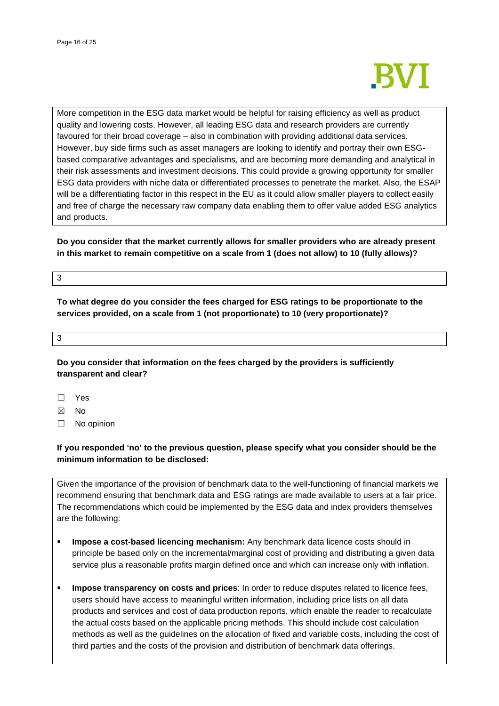

More competition in the ESG data market would be helpful for raising efficiency as well as product quality and lowering costs. However, all leading ESG data and research providers are currently favoured for their broad coverage – also in combination with providing additional data services. However, buy side firms such as asset managers are looking to identify and portray their own ESGbased comparative advantages and specialisms, and are becoming more demanding and analytical in their risk assessments and investment decisions. This could provide a growing opportunity for smaller ESG data providers with niche data or differentiated processes to penetrate the market. Also, the ESAP will be a differentiating factor in this respect in the EU as it could allow smaller players to collect easily and free of charge the necessary raw company data enabling them to offer value added ESG analytics and products.

**Do you consider that the market currently allows for smaller providers who are already present in this market to remain competitive on a scale from 1 (does not allow) to 10 (fully allows)?**

## 3

**To what degree do you consider the fees charged for ESG ratings to be proportionate to the services provided, on a scale from 1 (not proportionate) to 10 (very proportionate)?**

3

**Do you consider that information on the fees charged by the providers is sufficiently transparent and clear?**

☐ Yes

☒ No

☐ No opinion

# **If you responded 'no' to the previous question, please specify what you consider should be the minimum information to be disclosed:**

Given the importance of the provision of benchmark data to the well-functioning of financial markets we recommend ensuring that benchmark data and ESG ratings are made available to users at a fair price. The recommendations which could be implemented by the ESG data and index providers themselves are the following:

- **Impose a cost-based licencing mechanism:** Any benchmark data licence costs should in principle be based only on the incremental/marginal cost of providing and distributing a given data service plus a reasonable profits margin defined once and which can increase only with inflation.
- **Impose transparency on costs and prices**: In order to reduce disputes related to licence fees, users should have access to meaningful written information, including price lists on all data products and services and cost of data production reports, which enable the reader to recalculate the actual costs based on the applicable pricing methods. This should include cost calculation methods as well as the guidelines on the allocation of fixed and variable costs, including the cost of third parties and the costs of the provision and distribution of benchmark data offerings.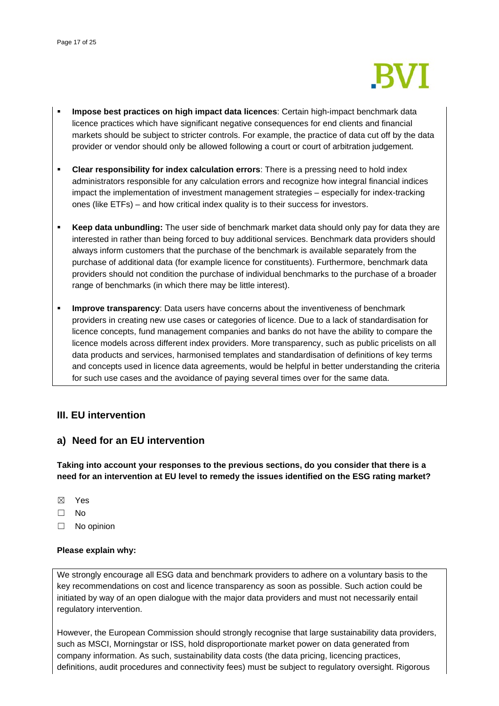

- **Impose best practices on high impact data licences**: Certain high-impact benchmark data licence practices which have significant negative consequences for end clients and financial markets should be subject to stricter controls. For example, the practice of data cut off by the data provider or vendor should only be allowed following a court or court of arbitration judgement.
- **Clear responsibility for index calculation errors**: There is a pressing need to hold index administrators responsible for any calculation errors and recognize how integral financial indices impact the implementation of investment management strategies – especially for index-tracking ones (like ETFs) – and how critical index quality is to their success for investors.
- **Keep data unbundling:** The user side of benchmark market data should only pay for data they are interested in rather than being forced to buy additional services. Benchmark data providers should always inform customers that the purchase of the benchmark is available separately from the purchase of additional data (for example licence for constituents). Furthermore, benchmark data providers should not condition the purchase of individual benchmarks to the purchase of a broader range of benchmarks (in which there may be little interest).
- **Improve transparency:** Data users have concerns about the inventiveness of benchmark providers in creating new use cases or categories of licence. Due to a lack of standardisation for licence concepts, fund management companies and banks do not have the ability to compare the licence models across different index providers. More transparency, such as public pricelists on all data products and services, harmonised templates and standardisation of definitions of key terms and concepts used in licence data agreements, would be helpful in better understanding the criteria for such use cases and the avoidance of paying several times over for the same data.

# **III. EU intervention**

# **a) Need for an EU intervention**

**Taking into account your responses to the previous sections, do you consider that there is a need for an intervention at EU level to remedy the issues identified on the ESG rating market?**

- ☒ Yes
- ☐ No
- ☐ No opinion

## **Please explain why:**

We strongly encourage all ESG data and benchmark providers to adhere on a voluntary basis to the key recommendations on cost and licence transparency as soon as possible. Such action could be initiated by way of an open dialogue with the major data providers and must not necessarily entail regulatory intervention.

However, the European Commission should strongly recognise that large sustainability data providers, such as MSCI, Morningstar or ISS, hold disproportionate market power on data generated from company information. As such, sustainability data costs (the data pricing, licencing practices, definitions, audit procedures and connectivity fees) must be subject to regulatory oversight. Rigorous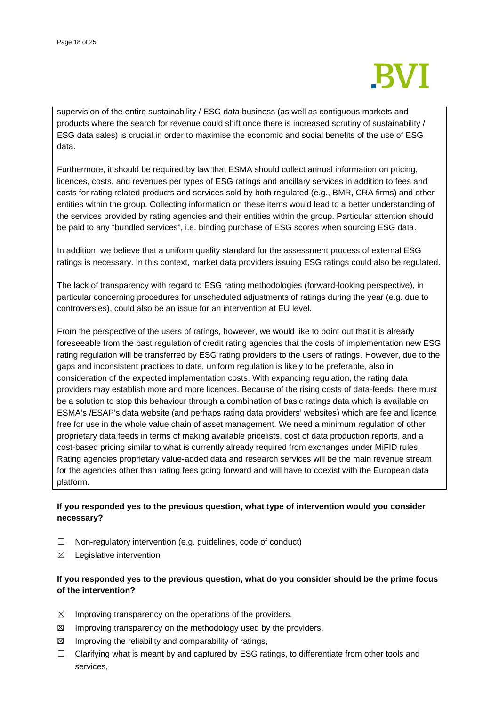

supervision of the entire sustainability / ESG data business (as well as contiguous markets and products where the search for revenue could shift once there is increased scrutiny of sustainability / ESG data sales) is crucial in order to maximise the economic and social benefits of the use of ESG data.

Furthermore, it should be required by law that ESMA should collect annual information on pricing, licences, costs, and revenues per types of ESG ratings and ancillary services in addition to fees and costs for rating related products and services sold by both regulated (e.g., BMR, CRA firms) and other entities within the group. Collecting information on these items would lead to a better understanding of the services provided by rating agencies and their entities within the group. Particular attention should be paid to any "bundled services", i.e. binding purchase of ESG scores when sourcing ESG data.

In addition, we believe that a uniform quality standard for the assessment process of external ESG ratings is necessary. In this context, market data providers issuing ESG ratings could also be regulated.

The lack of transparency with regard to ESG rating methodologies (forward-looking perspective), in particular concerning procedures for unscheduled adjustments of ratings during the year (e.g. due to controversies), could also be an issue for an intervention at EU level.

From the perspective of the users of ratings, however, we would like to point out that it is already foreseeable from the past regulation of credit rating agencies that the costs of implementation new ESG rating regulation will be transferred by ESG rating providers to the users of ratings. However, due to the gaps and inconsistent practices to date, uniform regulation is likely to be preferable, also in consideration of the expected implementation costs. With expanding regulation, the rating data providers may establish more and more licences. Because of the rising costs of data-feeds, there must be a solution to stop this behaviour through a combination of basic ratings data which is available on ESMA's /ESAP's data website (and perhaps rating data providers' websites) which are fee and licence free for use in the whole value chain of asset management. We need a minimum regulation of other proprietary data feeds in terms of making available pricelists, cost of data production reports, and a cost-based pricing similar to what is currently already required from exchanges under MiFID rules. Rating agencies proprietary value-added data and research services will be the main revenue stream for the agencies other than rating fees going forward and will have to coexist with the European data platform.

# **If you responded yes to the previous question, what type of intervention would you consider necessary?**

- ☐ Non-regulatory intervention (e.g. guidelines, code of conduct)
- $\boxtimes$  Legislative intervention

# **If you responded yes to the previous question, what do you consider should be the prime focus of the intervention?**

- $\boxtimes$  Improving transparency on the operations of the providers,
- $\boxtimes$  Improving transparency on the methodology used by the providers,
- $\boxtimes$  Improving the reliability and comparability of ratings,
- $\Box$  Clarifying what is meant by and captured by ESG ratings, to differentiate from other tools and services,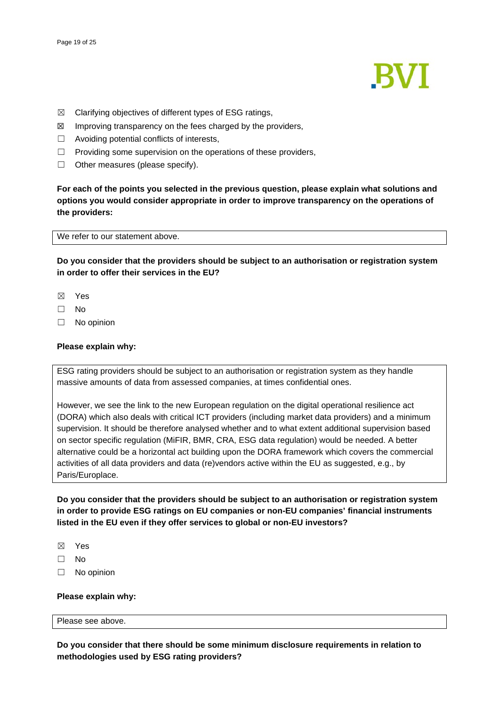

- $\boxtimes$  Clarifying objectives of different types of ESG ratings,
- $\boxtimes$  Improving transparency on the fees charged by the providers,
- $\Box$  Avoiding potential conflicts of interests,
- $\Box$  Providing some supervision on the operations of these providers,
- ☐ Other measures (please specify).

**For each of the points you selected in the previous question, please explain what solutions and options you would consider appropriate in order to improve transparency on the operations of the providers:**

We refer to our statement above.

**Do you consider that the providers should be subject to an authorisation or registration system in order to offer their services in the EU?**

- ☒ Yes
- ☐ No
- ☐ No opinion

## **Please explain why:**

ESG rating providers should be subject to an authorisation or registration system as they handle massive amounts of data from assessed companies, at times confidential ones.

However, we see the link to the new European regulation on the digital operational resilience act (DORA) which also deals with critical ICT providers (including market data providers) and a minimum supervision. It should be therefore analysed whether and to what extent additional supervision based on sector specific regulation (MiFIR, BMR, CRA, ESG data regulation) would be needed. A better alternative could be a horizontal act building upon the DORA framework which covers the commercial activities of all data providers and data (re)vendors active within the EU as suggested, e.g., by Paris/Europlace.

**Do you consider that the providers should be subject to an authorisation or registration system in order to provide ESG ratings on EU companies or non-EU companies' financial instruments listed in the EU even if they offer services to global or non-EU investors?**

- ☒ Yes
- ☐ No
- ☐ No opinion

## **Please explain why:**

## Please see above.

**Do you consider that there should be some minimum disclosure requirements in relation to methodologies used by ESG rating providers?**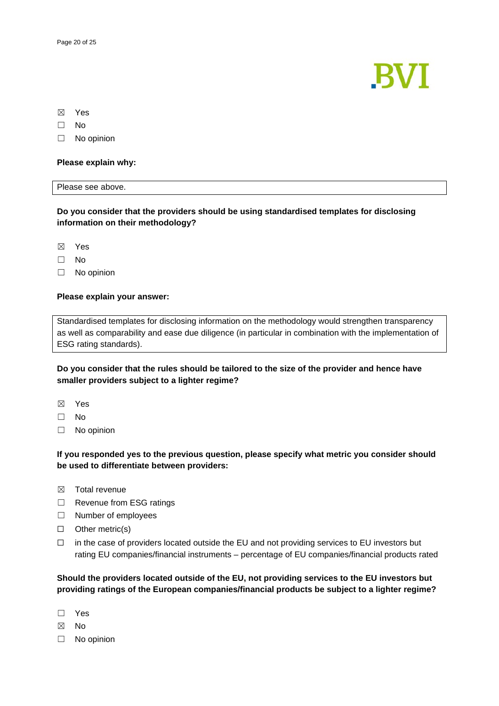

☒ Yes

☐ No

☐ No opinion

## **Please explain why:**

## Please see above.

**Do you consider that the providers should be using standardised templates for disclosing information on their methodology?**

☒ Yes

- ☐ No
- ☐ No opinion

## **Please explain your answer:**

Standardised templates for disclosing information on the methodology would strengthen transparency as well as comparability and ease due diligence (in particular in combination with the implementation of ESG rating standards).

## **Do you consider that the rules should be tailored to the size of the provider and hence have smaller providers subject to a lighter regime?**

- ☒ Yes
- ☐ No
- ☐ No opinion

## **If you responded yes to the previous question, please specify what metric you consider should be used to differentiate between providers:**

- ☒ Total revenue
- ☐ Revenue from ESG ratings
- ☐ Number of employees
- ☐ Other metric(s)
- $\Box$  in the case of providers located outside the EU and not providing services to EU investors but rating EU companies/financial instruments – percentage of EU companies/financial products rated

**Should the providers located outside of the EU, not providing services to the EU investors but providing ratings of the European companies/financial products be subject to a lighter regime?**

- ☐ Yes
- ☒ No
- ☐ No opinion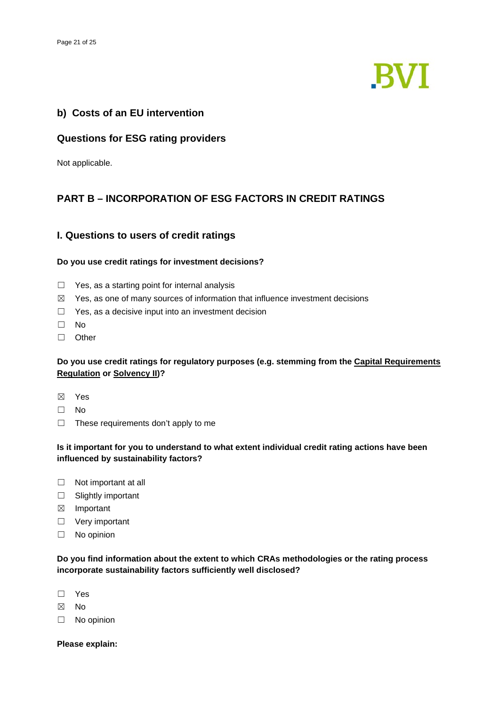

# **b) Costs of an EU intervention**

# **Questions for ESG rating providers**

Not applicable.

# **PART B – INCORPORATION OF ESG FACTORS IN CREDIT RATINGS**

# **I. Questions to users of credit ratings**

## **Do you use credit ratings for investment decisions?**

- □ Yes, as a starting point for internal analysis
- $\boxtimes$  Yes, as one of many sources of information that influence investment decisions
- □ Yes, as a decisive input into an investment decision
- ☐ No
- ☐ Other

# **Do you use credit ratings for regulatory purposes (e.g. stemming from the [Capital Requirements](https://eur-lex.europa.eu/legal-content/EN/TXT/?uri=CELEX:32013R0575)  [Regulation](https://eur-lex.europa.eu/legal-content/EN/TXT/?uri=CELEX:32013R0575) or [Solvency II\)](https://eur-lex.europa.eu/legal-content/EN/TXT/?uri=CELEX:32009L0138)?**

- ☒ Yes
- ☐ No
- $\Box$  These requirements don't apply to me

# **Is it important for you to understand to what extent individual credit rating actions have been influenced by sustainability factors?**

- □ Not important at all
- □ Slightly important
- ☒ Important
- □ Very important
- ☐ No opinion

**Do you find information about the extent to which CRAs methodologies or the rating process incorporate sustainability factors sufficiently well disclosed?**

- ☐ Yes
- ☒ No
- ☐ No opinion

**Please explain:**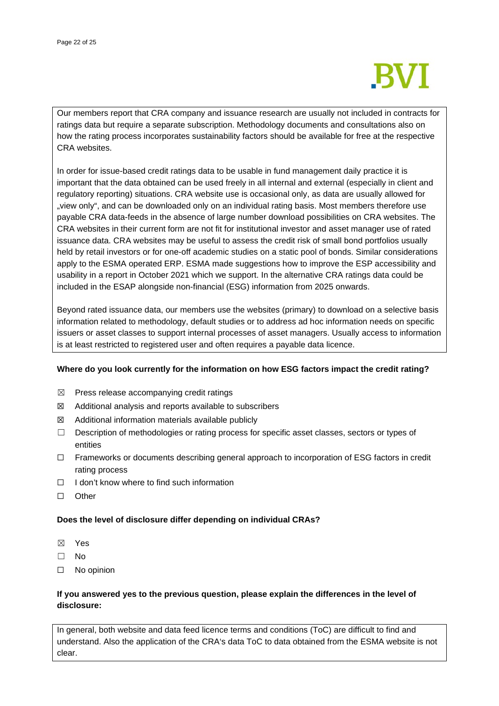

Our members report that CRA company and issuance research are usually not included in contracts for ratings data but require a separate subscription. Methodology documents and consultations also on how the rating process incorporates sustainability factors should be available for free at the respective CRA websites.

In order for issue-based credit ratings data to be usable in fund management daily practice it is important that the data obtained can be used freely in all internal and external (especially in client and regulatory reporting) situations. CRA website use is occasional only, as data are usually allowed for "view only", and can be downloaded only on an individual rating basis. Most members therefore use payable CRA data-feeds in the absence of large number download possibilities on CRA websites. The CRA websites in their current form are not fit for institutional investor and asset manager use of rated issuance data. CRA websites may be useful to assess the credit risk of small bond portfolios usually held by retail investors or for one-off academic studies on a static pool of bonds. Similar considerations apply to the ESMA operated ERP. ESMA made suggestions how to improve the ESP accessibility and usability in a report in October 2021 which we support. In the alternative CRA ratings data could be included in the ESAP alongside non-financial (ESG) information from 2025 onwards.

Beyond rated issuance data, our members use the websites (primary) to download on a selective basis information related to methodology, default studies or to address ad hoc information needs on specific issuers or asset classes to support internal processes of asset managers. Usually access to information is at least restricted to registered user and often requires a payable data licence.

## **Where do you look currently for the information on how ESG factors impact the credit rating?**

- $\boxtimes$  Press release accompanying credit ratings
- ☒ Additional analysis and reports available to subscribers
- $\boxtimes$  Additional information materials available publicly
- ☐ Description of methodologies or rating process for specific asset classes, sectors or types of entities
- ☐ Frameworks or documents describing general approach to incorporation of ESG factors in credit rating process
- ☐ I don't know where to find such information
- ☐ Other

## **Does the level of disclosure differ depending on individual CRAs?**

- ☒ Yes
- ☐ No
- ☐ No opinion

## **If you answered yes to the previous question, please explain the differences in the level of disclosure:**

In general, both website and data feed licence terms and conditions (ToC) are difficult to find and understand. Also the application of the CRA's data ToC to data obtained from the ESMA website is not clear.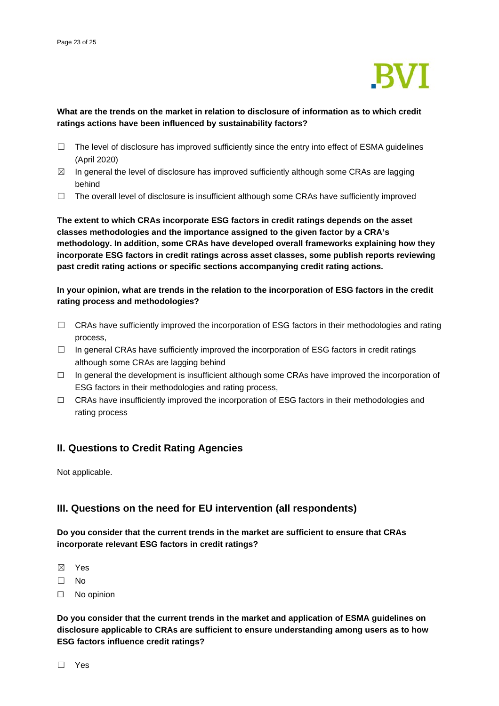

# **What are the trends on the market in relation to disclosure of information as to which credit ratings actions have been influenced by sustainability factors?**

- $\Box$  The level of disclosure has improved sufficiently since the entry into effect of ESMA guidelines (April 2020)
- $\boxtimes$  In general the level of disclosure has improved sufficiently although some CRAs are lagging behind
- $\Box$  The overall level of disclosure is insufficient although some CRAs have sufficiently improved

**The extent to which CRAs incorporate ESG factors in credit ratings depends on the asset classes methodologies and the importance assigned to the given factor by a CRA's methodology. In addition, some CRAs have developed overall frameworks explaining how they incorporate ESG factors in credit ratings across asset classes, some publish reports reviewing past credit rating actions or specific sections accompanying credit rating actions.**

## **In your opinion, what are trends in the relation to the incorporation of ESG factors in the credit rating process and methodologies?**

- $\Box$  CRAs have sufficiently improved the incorporation of ESG factors in their methodologies and rating process,
- $\Box$  In general CRAs have sufficiently improved the incorporation of ESG factors in credit ratings although some CRAs are lagging behind
- ☐ In general the development is insufficient although some CRAs have improved the incorporation of ESG factors in their methodologies and rating process,
- $\Box$  CRAs have insufficiently improved the incorporation of ESG factors in their methodologies and rating process

# **II. Questions to Credit Rating Agencies**

Not applicable.

# **III. Questions on the need for EU intervention (all respondents)**

**Do you consider that the current trends in the market are sufficient to ensure that CRAs incorporate relevant ESG factors in credit ratings?**

☒ Yes

☐ No

☐ No opinion

**Do you consider that the current trends in the market and application of ESMA guidelines on disclosure applicable to CRAs are sufficient to ensure understanding among users as to how ESG factors influence credit ratings?**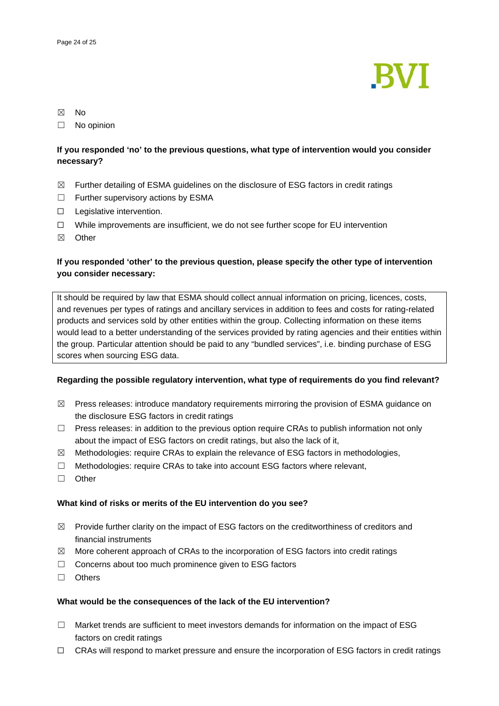

## ☒ No

☐ No opinion

# **If you responded 'no' to the previous questions, what type of intervention would you consider necessary?**

- $\boxtimes$  Further detailing of ESMA guidelines on the disclosure of ESG factors in credit ratings
- ☐ Further supervisory actions by ESMA
- ☐ Legislative intervention.
- ☐ While improvements are insufficient, we do not see further scope for EU intervention
- ☒ Other

# **If you responded 'other' to the previous question, please specify the other type of intervention you consider necessary:**

It should be required by law that ESMA should collect annual information on pricing, licences, costs, and revenues per types of ratings and ancillary services in addition to fees and costs for rating-related products and services sold by other entities within the group. Collecting information on these items would lead to a better understanding of the services provided by rating agencies and their entities within the group. Particular attention should be paid to any "bundled services", i.e. binding purchase of ESG scores when sourcing ESG data.

## **Regarding the possible regulatory intervention, what type of requirements do you find relevant?**

- $\boxtimes$  Press releases: introduce mandatory requirements mirroring the provision of ESMA guidance on the disclosure ESG factors in credit ratings
- $\Box$  Press releases: in addition to the previous option require CRAs to publish information not only about the impact of ESG factors on credit ratings, but also the lack of it,
- ☒ Methodologies: require CRAs to explain the relevance of ESG factors in methodologies,
- $\Box$  Methodologies: require CRAs to take into account ESG factors where relevant,
- ☐ Other

## **What kind of risks or merits of the EU intervention do you see?**

- $\boxtimes$  Provide further clarity on the impact of ESG factors on the creditworthiness of creditors and financial instruments
- $\boxtimes$  More coherent approach of CRAs to the incorporation of ESG factors into credit ratings
- ☐ Concerns about too much prominence given to ESG factors
- ☐ Others

## **What would be the consequences of the lack of the EU intervention?**

- $\Box$  Market trends are sufficient to meet investors demands for information on the impact of ESG factors on credit ratings
- ☐ CRAs will respond to market pressure and ensure the incorporation of ESG factors in credit ratings